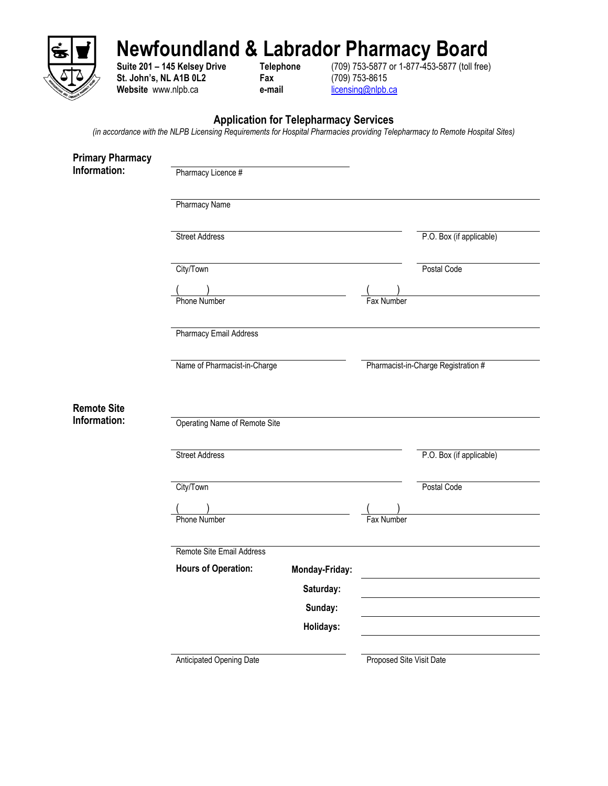

## **Newfoundland & Labrador Pharmacy Board**

**St. John's, NL A1B 0L2 Fax** (709) 753-8615<br>
Website www.nlpb.ca **e-mail e-mail e-mail <u>licensing@nlpb.ca</u>** Website www.nlpb.ca **e-mail** 

**Suite 201 – 145 Kelsey Drive Telephone** (709) 753-5877 or 1-877-453-5877 (toll free)

## **Application for Telepharmacy Services**

*(in accordance with the NLPB Licensing Requirements for Hospital Pharmacies providing Telepharmacy to Remote Hospital Sites)*

| Pharmacy Licence #            |                            |                                                                            |                                     |
|-------------------------------|----------------------------|----------------------------------------------------------------------------|-------------------------------------|
| <b>Pharmacy Name</b>          |                            |                                                                            |                                     |
| <b>Street Address</b>         |                            |                                                                            | P.O. Box (if applicable)            |
| City/Town                     |                            |                                                                            | Postal Code                         |
| Phone Number                  |                            | Fax Number                                                                 |                                     |
| <b>Pharmacy Email Address</b> |                            |                                                                            |                                     |
|                               |                            |                                                                            | Pharmacist-in-Charge Registration # |
|                               |                            |                                                                            |                                     |
| <b>Street Address</b>         |                            |                                                                            | P.O. Box (if applicable)            |
| City/Town                     |                            |                                                                            | Postal Code                         |
| <b>Phone Number</b>           |                            | Fax Number                                                                 |                                     |
| Remote Site Email Address     |                            |                                                                            |                                     |
|                               | Monday-Friday:             |                                                                            |                                     |
|                               | Sunday:                    |                                                                            |                                     |
|                               | Holidays:                  |                                                                            |                                     |
| Anticipated Opening Date      |                            |                                                                            |                                     |
|                               | <b>Hours of Operation:</b> | Name of Pharmacist-in-Charge<br>Operating Name of Remote Site<br>Saturday: | Proposed Site Visit Date            |